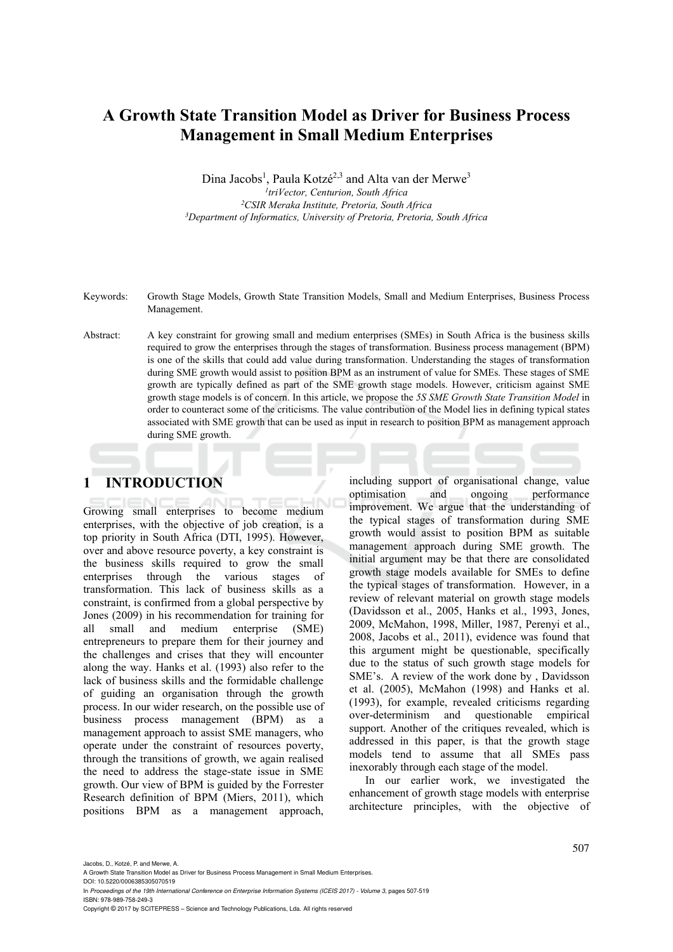# **A Growth State Transition Model as Driver for Business Process Management in Small Medium Enterprises**

Dina Jacobs<sup>1</sup>, Paula Kotzé<sup>2,3</sup> and Alta van der Merwe<sup>3</sup> <sup>1</sup>triVector, Centurion, South Africa<br><sup>3</sup>CSIR Meraka Institute, Pretoria, South Africa <sup>3</sup>Department of Informatics, University of Pretoria, Pretoria, South Africa

Keywords: Growth Stage Models, Growth State Transition Models, Small and Medium Enterprises, Business Process Management.

Abstract: A key constraint for growing small and medium enterprises (SMEs) in South Africa is the business skills required to grow the enterprises through the stages of transformation. Business process management (BPM) is one of the skills that could add value during transformation. Understanding the stages of transformation during SME growth would assist to position BPM as an instrument of value for SMEs. These stages of SME growth are typically defined as part of the SME growth stage models. However, criticism against SME growth stage models is of concern. In this article, we propose the *5S SME Growth State Transition Model* in order to counteract some of the criticisms. The value contribution of the Model lies in defining typical states associated with SME growth that can be used as input in research to position BPM as management approach during SME growth.

# **1 INTRODUCTION**

Growing small enterprises to become medium enterprises, with the objective of job creation, is a top priority in South Africa (DTI, 1995). However, over and above resource poverty, a key constraint is the business skills required to grow the small enterprises through the various stages of transformation. This lack of business skills as a constraint, is confirmed from a global perspective by Jones (2009) in his recommendation for training for all small and medium enterprise (SME) entrepreneurs to prepare them for their journey and the challenges and crises that they will encounter along the way. Hanks et al. (1993) also refer to the lack of business skills and the formidable challenge of guiding an organisation through the growth process. In our wider research, on the possible use of business process management (BPM) as a management approach to assist SME managers, who operate under the constraint of resources poverty, through the transitions of growth, we again realised the need to address the stage-state issue in SME growth. Our view of BPM is guided by the Forrester Research definition of BPM (Miers, 2011), which positions BPM as a management approach,

including support of organisational change, value optimisation and ongoing performance improvement. We argue that the understanding of the typical stages of transformation during SME growth would assist to position BPM as suitable management approach during SME growth. The initial argument may be that there are consolidated growth stage models available for SMEs to define the typical stages of transformation. However, in a review of relevant material on growth stage models (Davidsson et al., 2005, Hanks et al., 1993, Jones, 2009, McMahon, 1998, Miller, 1987, Perenyi et al., 2008, Jacobs et al., 2011), evidence was found that this argument might be questionable, specifically due to the status of such growth stage models for SME's. A review of the work done by , Davidsson et al. (2005), McMahon (1998) and Hanks et al. (1993), for example, revealed criticisms regarding over-determinism and questionable empirical support. Another of the critiques revealed, which is addressed in this paper, is that the growth stage models tend to assume that all SMEs pass inexorably through each stage of the model.

In our earlier work, we investigated the enhancement of growth stage models with enterprise architecture principles, with the objective of

Copyright © 2017 by SCITEPRESS – Science and Technology Publications, Lda. All rights reserved

A Growth State Transition Model as Driver for Business Process Management in Small Medium Enterprises. DOI: 10.5220/0006385305070519

In *Proceedings of the 19th International Conference on Enterprise Information Systems (ICEIS 2017) - Volume 3*, pages 507-519 ISBN: 978-989-758-249-3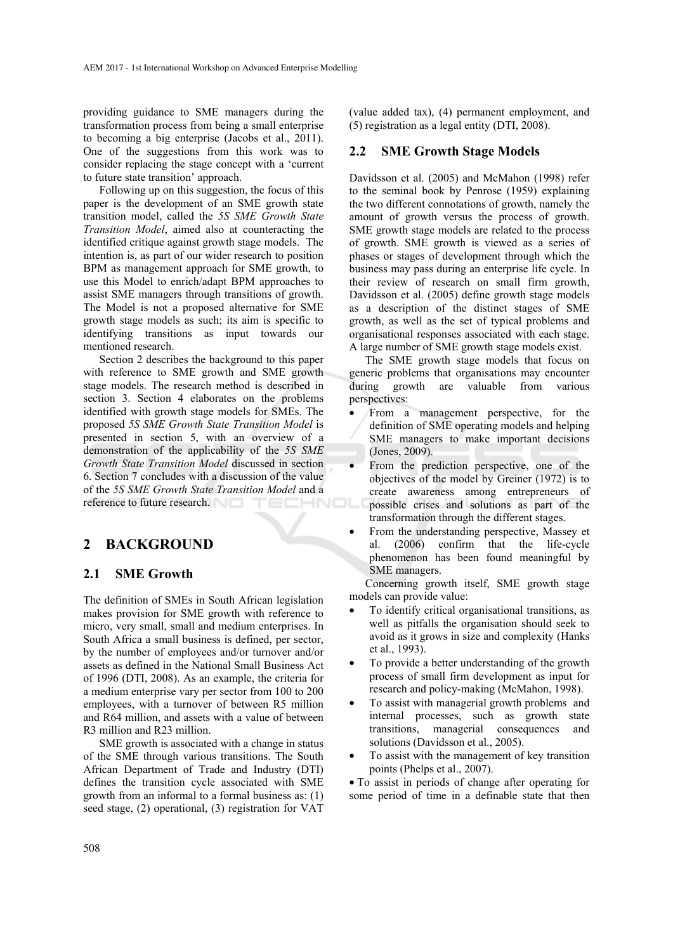providing guidance to SME managers during the transformation process from being a small enterprise to becoming a big enterprise (Jacobs et al., 2011). One of the suggestions from this work was to consider replacing the stage concept with a 'current to future state transition' approach.

Following up on this suggestion, the focus of this paper is the development of an SME growth state transition model, called the *5S SME Growth State Transition Model*, aimed also at counteracting the identified critique against growth stage models. The intention is, as part of our wider research to position BPM as management approach for SME growth, to use this Model to enrich/adapt BPM approaches to assist SME managers through transitions of growth. The Model is not a proposed alternative for SME growth stage models as such; its aim is specific to identifying transitions as input towards our mentioned research.

Section 2 describes the background to this paper with reference to SME growth and SME growth stage models. The research method is described in section 3. Section 4 elaborates on the problems identified with growth stage models for SMEs. The proposed *5S SME Growth State Transition Model* is presented in section 5, with an overview of a demonstration of the applicability of the *5S SME Growth State Transition Model* discussed in section 6. Section 7 concludes with a discussion of the value of the *5S SME Growth State Transition Model* and a reference to future research.

# **2 BACKGROUND**

## **2.1 SME Growth**

The definition of SMEs in South African legislation makes provision for SME growth with reference to micro, very small, small and medium enterprises. In South Africa a small business is defined, per sector, by the number of employees and/or turnover and/or assets as defined in the National Small Business Act of 1996 (DTI, 2008). As an example, the criteria for a medium enterprise vary per sector from 100 to 200 employees, with a turnover of between R5 million and R64 million, and assets with a value of between R3 million and R23 million.

SME growth is associated with a change in status of the SME through various transitions. The South African Department of Trade and Industry (DTI) defines the transition cycle associated with SME growth from an informal to a formal business as: (1) seed stage, (2) operational, (3) registration for VAT

(value added tax), (4) permanent employment, and (5) registration as a legal entity (DTI, 2008).

## **2.2 SME Growth Stage Models**

Davidsson et al. (2005) and McMahon (1998) refer to the seminal book by Penrose (1959) explaining the two different connotations of growth, namely the amount of growth versus the process of growth. SME growth stage models are related to the process of growth. SME growth is viewed as a series of phases or stages of development through which the business may pass during an enterprise life cycle. In their review of research on small firm growth, Davidsson et al. (2005) define growth stage models as a description of the distinct stages of SME growth, as well as the set of typical problems and organisational responses associated with each stage. A large number of SME growth stage models exist.

The SME growth stage models that focus on generic problems that organisations may encounter during growth are valuable from various perspectives:

- From a management perspective, for the definition of SME operating models and helping SME managers to make important decisions (Jones, 2009).
- From the prediction perspective, one of the objectives of the model by Greiner (1972) is to create awareness among entrepreneurs of possible crises and solutions as part of the transformation through the different stages.
- From the understanding perspective, Massey et al. (2006) confirm that the life-cycle phenomenon has been found meaningful by SME managers.

Concerning growth itself, SME growth stage models can provide value:

- To identify critical organisational transitions, as well as pitfalls the organisation should seek to avoid as it grows in size and complexity (Hanks et al., 1993).
- To provide a better understanding of the growth process of small firm development as input for research and policy-making (McMahon, 1998).
- To assist with managerial growth problems and internal processes, such as growth state transitions, managerial consequences and solutions (Davidsson et al., 2005).
- To assist with the management of key transition points (Phelps et al., 2007).

• To assist in periods of change after operating for some period of time in a definable state that then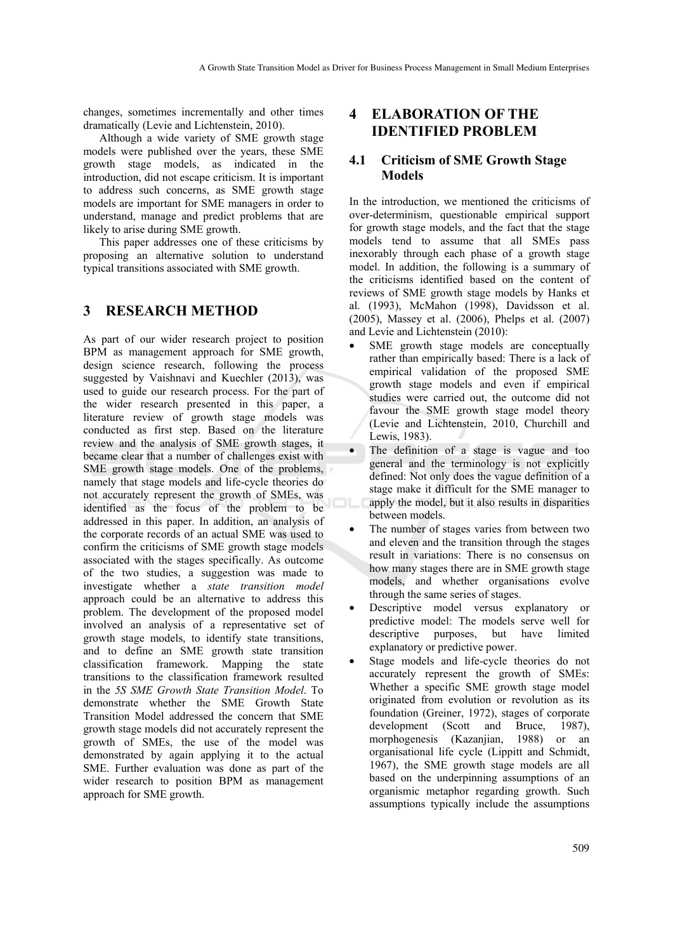changes, sometimes incrementally and other times dramatically (Levie and Lichtenstein, 2010).

Although a wide variety of SME growth stage models were published over the years, these SME growth stage models, as indicated in the introduction, did not escape criticism. It is important to address such concerns, as SME growth stage models are important for SME managers in order to understand, manage and predict problems that are likely to arise during SME growth.

This paper addresses one of these criticisms by proposing an alternative solution to understand typical transitions associated with SME growth.

# **3 RESEARCH METHOD**

As part of our wider research project to position BPM as management approach for SME growth, design science research, following the process suggested by Vaishnavi and Kuechler (2013), was used to guide our research process. For the part of the wider research presented in this paper, a literature review of growth stage models was conducted as first step. Based on the literature review and the analysis of SME growth stages, it became clear that a number of challenges exist with SME growth stage models. One of the problems, namely that stage models and life-cycle theories do not accurately represent the growth of SMEs, was identified as the focus of the problem to be addressed in this paper. In addition, an analysis of the corporate records of an actual SME was used to confirm the criticisms of SME growth stage models associated with the stages specifically. As outcome of the two studies, a suggestion was made to investigate whether a *state transition model* approach could be an alternative to address this problem. The development of the proposed model involved an analysis of a representative set of growth stage models, to identify state transitions, and to define an SME growth state transition classification framework. Mapping the state transitions to the classification framework resulted in the *5S SME Growth State Transition Model*. To demonstrate whether the SME Growth State Transition Model addressed the concern that SME growth stage models did not accurately represent the growth of SMEs, the use of the model was demonstrated by again applying it to the actual SME. Further evaluation was done as part of the wider research to position BPM as management approach for SME growth.

# **4 ELABORATION OF THE IDENTIFIED PROBLEM**

## **4.1 Criticism of SME Growth Stage Models**

In the introduction, we mentioned the criticisms of over-determinism, questionable empirical support for growth stage models, and the fact that the stage models tend to assume that all SMEs pass inexorably through each phase of a growth stage model. In addition, the following is a summary of the criticisms identified based on the content of reviews of SME growth stage models by Hanks et al. (1993), McMahon (1998), Davidsson et al. (2005), Massey et al. (2006), Phelps et al. (2007) and Levie and Lichtenstein (2010):

- SME growth stage models are conceptually rather than empirically based: There is a lack of empirical validation of the proposed SME growth stage models and even if empirical studies were carried out, the outcome did not favour the SME growth stage model theory (Levie and Lichtenstein, 2010, Churchill and Lewis, 1983).
- The definition of a stage is vague and too general and the terminology is not explicitly defined: Not only does the vague definition of a stage make it difficult for the SME manager to apply the model, but it also results in disparities between models.
- The number of stages varies from between two and eleven and the transition through the stages result in variations: There is no consensus on how many stages there are in SME growth stage models, and whether organisations evolve through the same series of stages.
- Descriptive model versus explanatory or predictive model: The models serve well for descriptive purposes, but have limited explanatory or predictive power.
- Stage models and life-cycle theories do not accurately represent the growth of SMEs: Whether a specific SME growth stage model originated from evolution or revolution as its foundation (Greiner, 1972), stages of corporate development (Scott and Bruce, 1987), morphogenesis (Kazanjian, 1988) or an organisational life cycle (Lippitt and Schmidt, 1967), the SME growth stage models are all based on the underpinning assumptions of an organismic metaphor regarding growth. Such assumptions typically include the assumptions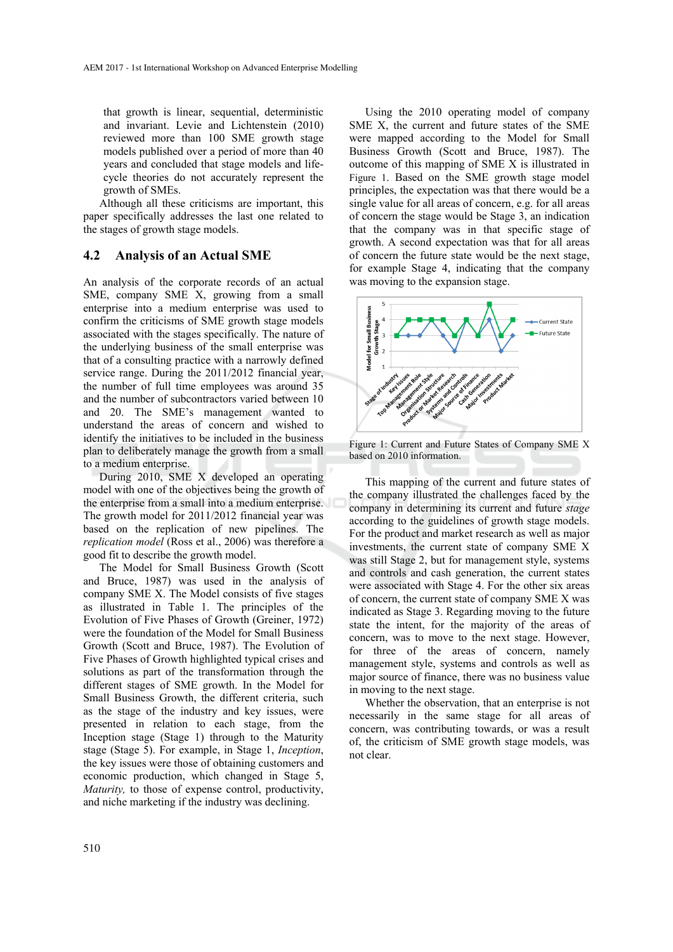that growth is linear, sequential, deterministic and invariant. Levie and Lichtenstein (2010) reviewed more than 100 SME growth stage models published over a period of more than 40 years and concluded that stage models and lifecycle theories do not accurately represent the growth of SMEs.

Although all these criticisms are important, this paper specifically addresses the last one related to the stages of growth stage models.

## **4.2 Analysis of an Actual SME**

An analysis of the corporate records of an actual SME, company SME X, growing from a small enterprise into a medium enterprise was used to confirm the criticisms of SME growth stage models associated with the stages specifically. The nature of the underlying business of the small enterprise was that of a consulting practice with a narrowly defined service range. During the 2011/2012 financial year, the number of full time employees was around 35 and the number of subcontractors varied between 10 and 20. The SME's management wanted to understand the areas of concern and wished to identify the initiatives to be included in the business plan to deliberately manage the growth from a small to a medium enterprise.

During 2010, SME X developed an operating model with one of the objectives being the growth of the enterprise from a small into a medium enterprise. The growth model for 2011/2012 financial year was based on the replication of new pipelines. The *replication model* (Ross et al., 2006) was therefore a good fit to describe the growth model.

The Model for Small Business Growth (Scott and Bruce, 1987) was used in the analysis of company SME X. The Model consists of five stages as illustrated in Table 1. The principles of the Evolution of Five Phases of Growth (Greiner, 1972) were the foundation of the Model for Small Business Growth (Scott and Bruce, 1987). The Evolution of Five Phases of Growth highlighted typical crises and solutions as part of the transformation through the different stages of SME growth. In the Model for Small Business Growth, the different criteria, such as the stage of the industry and key issues, were presented in relation to each stage, from the Inception stage (Stage 1) through to the Maturity stage (Stage 5). For example, in Stage 1, *Inception*, the key issues were those of obtaining customers and economic production, which changed in Stage 5, *Maturity,* to those of expense control, productivity, and niche marketing if the industry was declining.

Using the 2010 operating model of company SME X, the current and future states of the SME were mapped according to the Model for Small Business Growth (Scott and Bruce, 1987). The outcome of this mapping of SME X is illustrated in Figure 1. Based on the SME growth stage model principles, the expectation was that there would be a single value for all areas of concern, e.g. for all areas of concern the stage would be Stage 3, an indication that the company was in that specific stage of growth. A second expectation was that for all areas of concern the future state would be the next stage, for example Stage 4, indicating that the company was moving to the expansion stage.



Figure 1: Current and Future States of Company SME X based on 2010 information.

This mapping of the current and future states of the company illustrated the challenges faced by the company in determining its current and future *stage* according to the guidelines of growth stage models. For the product and market research as well as major investments, the current state of company SME X was still Stage 2, but for management style, systems and controls and cash generation, the current states were associated with Stage 4. For the other six areas of concern, the current state of company SME X was indicated as Stage 3. Regarding moving to the future state the intent, for the majority of the areas of concern, was to move to the next stage. However, for three of the areas of concern, namely management style, systems and controls as well as major source of finance, there was no business value in moving to the next stage.

Whether the observation, that an enterprise is not necessarily in the same stage for all areas of concern, was contributing towards, or was a result of, the criticism of SME growth stage models, was not clear.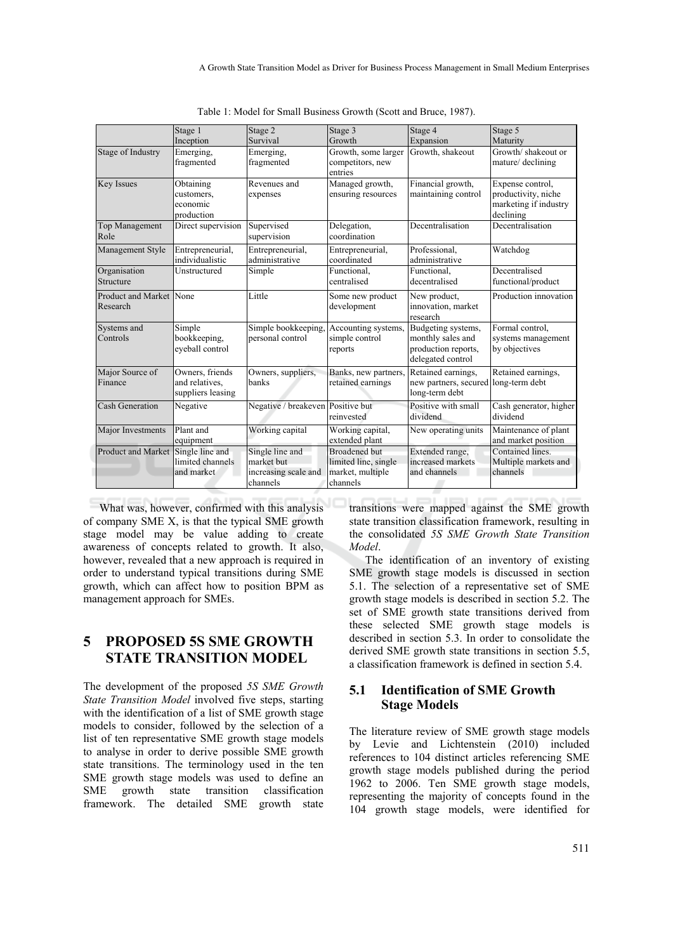|                                     | Stage 1                                                | Stage 2                                                           | Stage 3                                                                      | Stage 4                                                                             | Stage 5                                                                       |
|-------------------------------------|--------------------------------------------------------|-------------------------------------------------------------------|------------------------------------------------------------------------------|-------------------------------------------------------------------------------------|-------------------------------------------------------------------------------|
|                                     | Inception                                              | Survival                                                          | Growth                                                                       | Expansion                                                                           | Maturity                                                                      |
| Stage of Industry                   | Emerging,<br>fragmented                                | Emerging,<br>fragmented                                           | Growth, some larger<br>competitors, new<br>entries                           | Growth, shakeout                                                                    | Growth/shakeout or<br>mature/ declining                                       |
| <b>Key Issues</b>                   | Obtaining<br>customers,<br>economic<br>production      | Revenues and<br>expenses                                          | Managed growth,<br>ensuring resources                                        | Financial growth,<br>maintaining control                                            | Expense control,<br>productivity, niche<br>marketing if industry<br>declining |
| <b>Top Management</b><br>Role       | Direct supervision                                     | Supervised<br>supervision                                         | Delegation,<br>coordination                                                  | Decentralisation                                                                    | Decentralisation                                                              |
| Management Style                    | Entrepreneurial,<br>individualistic                    | Entrepreneurial,<br>administrative                                | Entrepreneurial,<br>coordinated                                              | Professional,<br>administrative                                                     | Watchdog                                                                      |
| Organisation<br>Structure           | Unstructured                                           | Simple                                                            | Functional,<br>centralised                                                   | Functional.<br>decentralised                                                        | Decentralised<br>functional/product                                           |
| Product and Market None<br>Research |                                                        | Little                                                            | Some new product<br>development                                              | New product,<br>innovation, market<br>research                                      | Production innovation                                                         |
| Systems and<br>Controls             | Simple<br>bookkeeping,<br>eyeball control              | Simple bookkeeping,<br>personal control                           | Accounting systems,<br>simple control<br>reports                             | Budgeting systems,<br>monthly sales and<br>production reports,<br>delegated control | Formal control.<br>systems management<br>by objectives                        |
| Major Source of<br>Finance          | Owners, friends<br>and relatives,<br>suppliers leasing | Owners, suppliers,<br>banks                                       | Banks, new partners.<br>retained earnings                                    | Retained earnings,<br>new partners, secured long-term debt<br>long-term debt        | Retained earnings,                                                            |
| <b>Cash Generation</b>              | Negative                                               | Negative / breakeven Positive but                                 | reinvested                                                                   | Positive with small<br>dividend                                                     | Cash generator, higher<br>dividend                                            |
| Major Investments                   | Plant and<br>equipment                                 | Working capital                                                   | Working capital,<br>extended plant                                           | New operating units                                                                 | Maintenance of plant<br>and market position                                   |
| <b>Product and Market</b>           | Single line and<br>limited channels<br>and market      | Single line and<br>market but<br>increasing scale and<br>channels | <b>Broadened</b> but<br>limited line, single<br>market, multiple<br>channels | Extended range,<br>increased markets<br>and channels                                | Contained lines<br>Multiple markets and<br>channels                           |

Table 1: Model for Small Business Growth (Scott and Bruce, 1987).

What was, however, confirmed with this analysis of company SME X, is that the typical SME growth stage model may be value adding to create awareness of concepts related to growth. It also, however, revealed that a new approach is required in order to understand typical transitions during SME growth, which can affect how to position BPM as management approach for SMEs.

# **5 PROPOSED 5S SME GROWTH STATE TRANSITION MODEL**

The development of the proposed *5S SME Growth State Transition Model* involved five steps, starting with the identification of a list of SME growth stage models to consider, followed by the selection of a list of ten representative SME growth stage models to analyse in order to derive possible SME growth state transitions. The terminology used in the ten SME growth stage models was used to define an SME growth state transition classification framework. The detailed SME growth state

transitions were mapped against the SME growth state transition classification framework, resulting in the consolidated *5S SME Growth State Transition Model*.

The identification of an inventory of existing SME growth stage models is discussed in section 5.1. The selection of a representative set of SME growth stage models is described in section 5.2. The set of SME growth state transitions derived from these selected SME growth stage models is described in section 5.3. In order to consolidate the derived SME growth state transitions in section 5.5, a classification framework is defined in section 5.4.

## **5.1 Identification of SME Growth Stage Models**

The literature review of SME growth stage models by Levie and Lichtenstein (2010) included references to 104 distinct articles referencing SME growth stage models published during the period 1962 to 2006. Ten SME growth stage models, representing the majority of concepts found in the 104 growth stage models, were identified for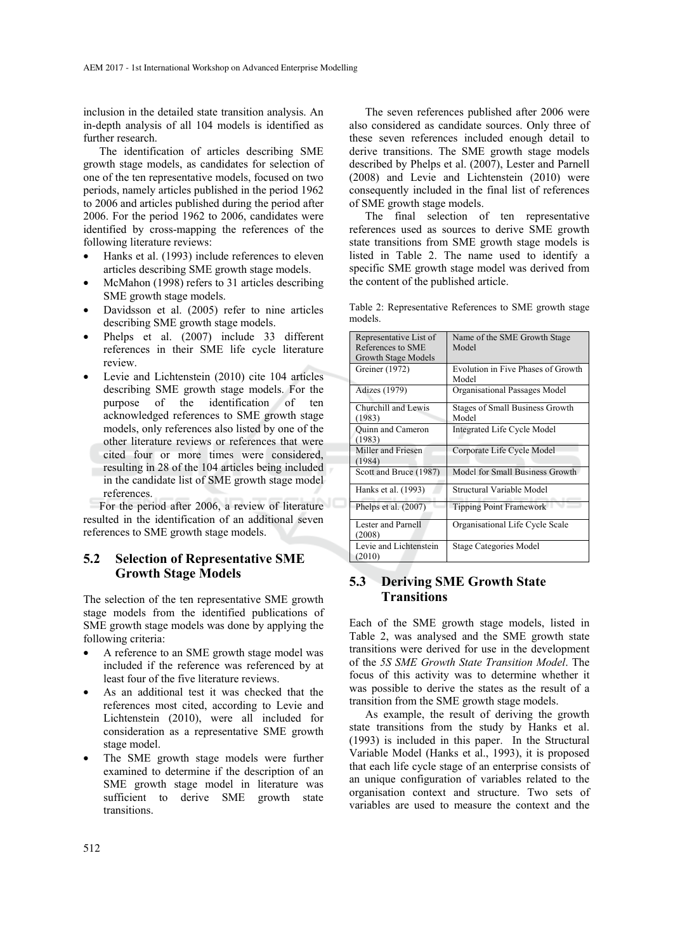inclusion in the detailed state transition analysis. An in-depth analysis of all 104 models is identified as further research.

The identification of articles describing SME growth stage models, as candidates for selection of one of the ten representative models, focused on two periods, namely articles published in the period 1962 to 2006 and articles published during the period after 2006. For the period 1962 to 2006, candidates were identified by cross-mapping the references of the following literature reviews:

- Hanks et al. (1993) include references to eleven articles describing SME growth stage models.
- McMahon (1998) refers to 31 articles describing SME growth stage models.
- Davidsson et al. (2005) refer to nine articles describing SME growth stage models.
- Phelps et al. (2007) include 33 different references in their SME life cycle literature review.
- Levie and Lichtenstein (2010) cite 104 articles describing SME growth stage models. For the purpose of the identification of ten acknowledged references to SME growth stage models, only references also listed by one of the other literature reviews or references that were cited four or more times were considered, resulting in 28 of the 104 articles being included in the candidate list of SME growth stage model references.

For the period after 2006, a review of literature resulted in the identification of an additional seven references to SME growth stage models.

## **5.2 Selection of Representative SME Growth Stage Models**

The selection of the ten representative SME growth stage models from the identified publications of SME growth stage models was done by applying the following criteria:

- A reference to an SME growth stage model was included if the reference was referenced by at least four of the five literature reviews.
- As an additional test it was checked that the references most cited, according to Levie and Lichtenstein (2010), were all included for consideration as a representative SME growth stage model.
- The SME growth stage models were further examined to determine if the description of an SME growth stage model in literature was sufficient to derive SME growth state transitions.

The seven references published after 2006 were also considered as candidate sources. Only three of these seven references included enough detail to derive transitions. The SME growth stage models described by Phelps et al. (2007), Lester and Parnell (2008) and Levie and Lichtenstein (2010) were consequently included in the final list of references of SME growth stage models.

The final selection of ten representative references used as sources to derive SME growth state transitions from SME growth stage models is listed in Table 2. The name used to identify a specific SME growth stage model was derived from the content of the published article.

Table 2: Representative References to SME growth stage models.

| Representative List of<br>References to SME<br>Growth Stage Models | Name of the SME Growth Stage<br>Model       |
|--------------------------------------------------------------------|---------------------------------------------|
| Greiner (1972)                                                     | Evolution in Five Phases of Growth<br>Model |
| Adizes (1979)                                                      | Organisational Passages Model               |
| Churchill and Lewis<br>(1983)                                      | Stages of Small Business Growth<br>Model    |
| Ouinn and Cameron<br>(1983)                                        | <b>Integrated Life Cycle Model</b>          |
| Miller and Friesen<br>(1984)                                       | Corporate Life Cycle Model                  |
| Scott and Bruce (1987)                                             | Model for Small Business Growth             |
| Hanks et al. (1993)                                                | Structural Variable Model                   |
| Phelps et al. $(2007)$                                             | <b>Tipping Point Framework</b>              |
| Lester and Parnell<br>(2008)                                       | Organisational Life Cycle Scale             |
| Levie and Lichtenstein<br>(2010)                                   | <b>Stage Categories Model</b>               |

## **5.3 Deriving SME Growth State Transitions**

Each of the SME growth stage models, listed in Table 2, was analysed and the SME growth state transitions were derived for use in the development of the *5S SME Growth State Transition Model*. The focus of this activity was to determine whether it was possible to derive the states as the result of a transition from the SME growth stage models.

As example, the result of deriving the growth state transitions from the study by Hanks et al. (1993) is included in this paper. In the Structural Variable Model (Hanks et al., 1993), it is proposed that each life cycle stage of an enterprise consists of an unique configuration of variables related to the organisation context and structure. Two sets of variables are used to measure the context and the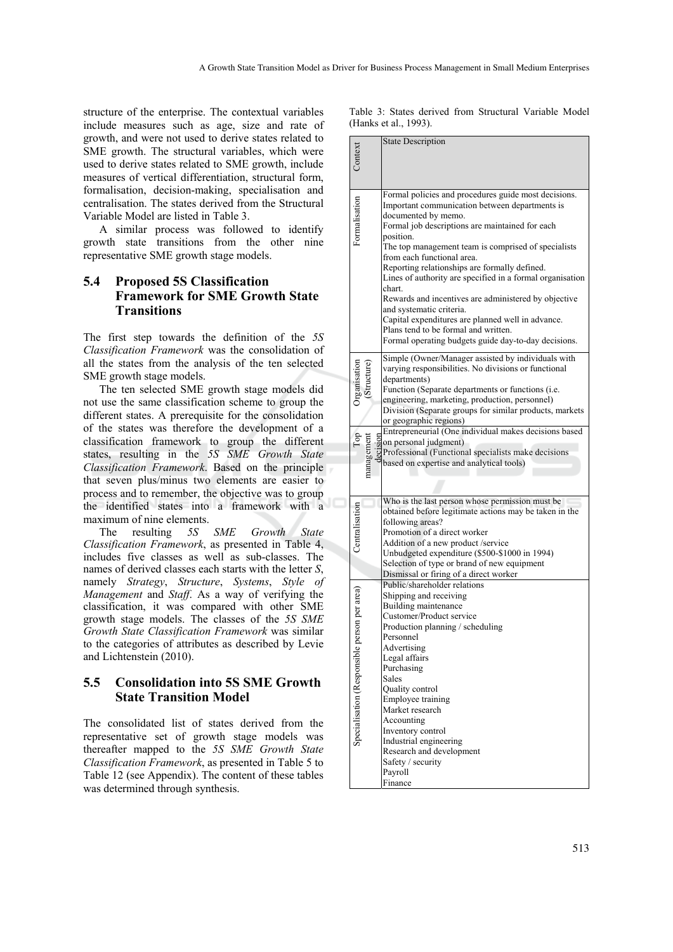structure of the enterprise. The contextual variables include measures such as age, size and rate of growth, and were not used to derive states related to SME growth. The structural variables, which were used to derive states related to SME growth, include measures of vertical differentiation, structural form, formalisation, decision-making, specialisation and centralisation. The states derived from the Structural Variable Model are listed in Table 3.

A similar process was followed to identify growth state transitions from the other nine representative SME growth stage models.

## **5.4 Proposed 5S Classification Framework for SME Growth State Transitions**

The first step towards the definition of the *5S Classification Framework* was the consolidation of all the states from the analysis of the ten selected SME growth stage models.

The ten selected SME growth stage models did not use the same classification scheme to group the different states. A prerequisite for the consolidation of the states was therefore the development of a classification framework to group the different states, resulting in the *5S SME Growth State Classification Framework*. Based on the principle that seven plus/minus two elements are easier to process and to remember, the objective was to group the identified states into a framework with a maximum of nine elements.

The resulting *5S SME Growth State Classification Framework*, as presented in Table 4, includes five classes as well as sub-classes. The names of derived classes each starts with the letter *S*, namely *Strategy*, *Structure*, *Systems*, *Style of Management* and *Staff*. As a way of verifying the classification, it was compared with other SME growth stage models. The classes of the *5S SME Growth State Classification Framework* was similar to the categories of attributes as described by Levie and Lichtenstein (2010).

## **5.5 Consolidation into 5S SME Growth State Transition Model**

The consolidated list of states derived from the representative set of growth stage models was thereafter mapped to the *5S SME Growth State Classification Framework*, as presented in Table 5 to Table 12 (see Appendix). The content of these tables was determined through synthesis.

Table 3: States derived from Structural Variable Model (Hanks et al., 1993).

|                                              |           | <b>State Description</b>                                                                                                                                                                                                                                                                                                                                                                                                                                                                                                                                                                                                                            |
|----------------------------------------------|-----------|-----------------------------------------------------------------------------------------------------------------------------------------------------------------------------------------------------------------------------------------------------------------------------------------------------------------------------------------------------------------------------------------------------------------------------------------------------------------------------------------------------------------------------------------------------------------------------------------------------------------------------------------------------|
| Formalisation                                |           | Formal policies and procedures guide most decisions.<br>Important communication between departments is<br>documented by memo.<br>Formal job descriptions are maintained for each<br>position.<br>The top management team is comprised of specialists<br>from each functional area.<br>Reporting relationships are formally defined.<br>Lines of authority are specified in a formal organisation<br>chart.<br>Rewards and incentives are administered by objective<br>and systematic criteria.<br>Capital expenditures are planned well in advance.<br>Plans tend to be formal and written.<br>Formal operating budgets guide day-to-day decisions. |
| Organisation<br>Top                          | managemen | Simple (Owner/Manager assisted by individuals with<br>varying responsibilities. No divisions or functional<br>departments)<br>Function (Separate departments or functions (i.e.<br>engineering, marketing, production, personnel)<br>Division (Separate groups for similar products, markets<br>or geographic regions)<br>Entrepreneurial (One individual makes decisions based<br>Entrepreneurial (One individual makes decisions based)<br>and personal judgment)<br>Professional (Functional specialists make decisions)<br>based on expertise and analytical tools)                                                                             |
| Centralisation                               |           | Who is the last person whose permission must be<br>obtained before legitimate actions may be taken in the<br>following areas?<br>Promotion of a direct worker<br>Addition of a new product/service<br>Unbudgeted expenditure (\$500-\$1000 in 1994)<br>Selection of type or brand of new equipment<br>Dismissal or firing of a direct worker                                                                                                                                                                                                                                                                                                        |
| Specialisation (Responsible person per area) |           | Public/shareholder relations<br>Shipping and receiving<br>Building maintenance<br>Customer/Product service<br>Production planning / scheduling<br>Personnel<br>Advertising<br>Legal affairs<br>Purchasing<br>Sales<br>Quality control<br>Employee training<br>Market research<br>Accounting<br>Inventory control<br>Industrial engineering<br>Research and development<br>Safety / security<br>Payroll<br>Finance                                                                                                                                                                                                                                   |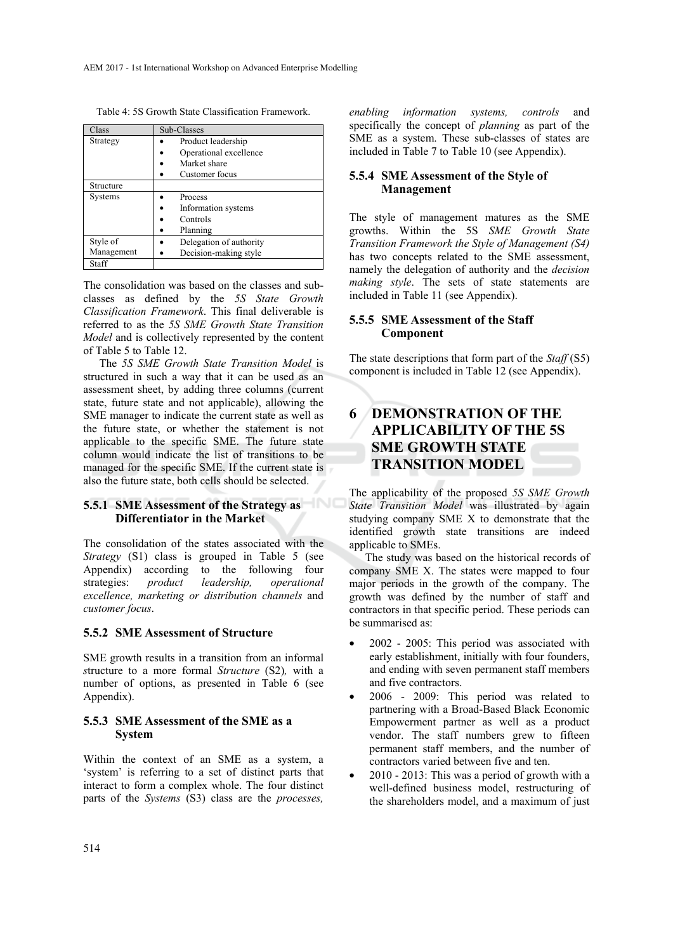Table 4: 5S Growth State Classification Framework.

| Class      | Sub-Classes             |  |
|------------|-------------------------|--|
| Strategy   | Product leadership      |  |
|            | Operational excellence  |  |
|            | Market share            |  |
|            | Customer focus          |  |
| Structure  |                         |  |
| Systems    | Process                 |  |
|            | Information systems     |  |
|            | Controls                |  |
|            | Planning                |  |
| Style of   | Delegation of authority |  |
| Management | Decision-making style   |  |
| Staff      |                         |  |

The consolidation was based on the classes and subclasses as defined by the *5S State Growth Classification Framework*. This final deliverable is referred to as the *5S SME Growth State Transition Model* and is collectively represented by the content of Table 5 to Table 12.

The *5S SME Growth State Transition Model* is structured in such a way that it can be used as an assessment sheet, by adding three columns (current state, future state and not applicable), allowing the SME manager to indicate the current state as well as the future state, or whether the statement is not applicable to the specific SME. The future state column would indicate the list of transitions to be managed for the specific SME. If the current state is also the future state, both cells should be selected.

## **5.5.1 SME Assessment of the Strategy as Differentiator in the Market**

The consolidation of the states associated with the *Strategy* (S1) class is grouped in Table 5 (see Appendix) according to the following four strategies: *product leadership, operational excellence, marketing or distribution channels* and *customer focus*.

## **5.5.2 SME Assessment of Structure**

SME growth results in a transition from an informal *s*tructure to a more formal *Structure* (S2)*,* with a number of options, as presented in Table 6 (see Appendix).

## **5.5.3 SME Assessment of the SME as a System**

Within the context of an SME as a system, a 'system' is referring to a set of distinct parts that interact to form a complex whole. The four distinct parts of the *Systems* (S3) class are the *processes,* 

*enabling information systems, controls* and specifically the concept of *planning* as part of the SME as a system. These sub-classes of states are included in Table 7 to Table 10 (see Appendix).

## **5.5.4 SME Assessment of the Style of Management**

The style of management matures as the SME growths. Within the 5S *SME Growth State Transition Framework the Style of Management (S4)* has two concepts related to the SME assessment, namely the delegation of authority and the *decision making style*. The sets of state statements are included in Table 11 (see Appendix).

## **5.5.5 SME Assessment of the Staff Component**

The state descriptions that form part of the *Staff* (S5) component is included in Table 12 (see Appendix).

# **6 DEMONSTRATION OF THE APPLICABILITY OF THE 5S SME GROWTH STATE TRANSITION MODEL**

The applicability of the proposed *5S SME Growth State Transition Model* was illustrated by again studying company SME X to demonstrate that the identified growth state transitions are indeed applicable to SMEs.

The study was based on the historical records of company SME X. The states were mapped to four major periods in the growth of the company. The growth was defined by the number of staff and contractors in that specific period. These periods can be summarised as:

- 2002 2005: This period was associated with early establishment, initially with four founders, and ending with seven permanent staff members and five contractors.
- 2006 2009: This period was related to partnering with a Broad-Based Black Economic Empowerment partner as well as a product vendor. The staff numbers grew to fifteen permanent staff members, and the number of contractors varied between five and ten.
- $2010 2013$ : This was a period of growth with a well-defined business model, restructuring of the shareholders model, and a maximum of just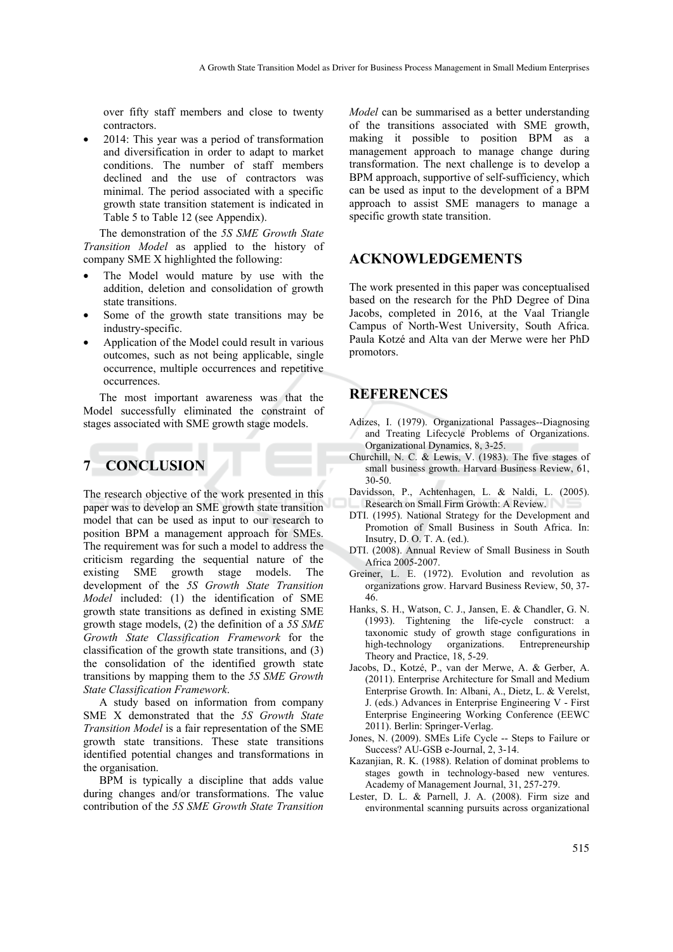over fifty staff members and close to twenty contractors.

• 2014: This year was a period of transformation and diversification in order to adapt to market conditions. The number of staff members declined and the use of contractors was minimal. The period associated with a specific growth state transition statement is indicated in Table 5 to Table 12 (see Appendix).

The demonstration of the *5S SME Growth State Transition Model* as applied to the history of company SME X highlighted the following:

- The Model would mature by use with the addition, deletion and consolidation of growth state transitions.
- Some of the growth state transitions may be industry-specific.
- Application of the Model could result in various outcomes, such as not being applicable, single occurrence, multiple occurrences and repetitive occurrences.

The most important awareness was that the Model successfully eliminated the constraint of stages associated with SME growth stage models.

# **7 CONCLUSION**

The research objective of the work presented in this paper was to develop an SME growth state transition model that can be used as input to our research to position BPM a management approach for SMEs. The requirement was for such a model to address the criticism regarding the sequential nature of the existing SME growth stage models. The development of the *5S Growth State Transition Model* included: (1) the identification of SME growth state transitions as defined in existing SME growth stage models, (2) the definition of a *5S SME Growth State Classification Framework* for the classification of the growth state transitions, and (3) the consolidation of the identified growth state transitions by mapping them to the *5S SME Growth State Classification Framework*.

A study based on information from company SME X demonstrated that the *5S Growth State Transition Model* is a fair representation of the SME growth state transitions. These state transitions identified potential changes and transformations in the organisation.

BPM is typically a discipline that adds value during changes and/or transformations. The value contribution of the *5S SME Growth State Transition* 

*Model* can be summarised as a better understanding of the transitions associated with SME growth, making it possible to position BPM as a management approach to manage change during transformation. The next challenge is to develop a BPM approach, supportive of self-sufficiency, which can be used as input to the development of a BPM approach to assist SME managers to manage a specific growth state transition.

# **ACKNOWLEDGEMENTS**

The work presented in this paper was conceptualised based on the research for the PhD Degree of Dina Jacobs, completed in 2016, at the Vaal Triangle Campus of North-West University, South Africa. Paula Kotzé and Alta van der Merwe were her PhD promotors.

# **REFERENCES**

- Adizes, I. (1979). Organizational Passages--Diagnosing and Treating Lifecycle Problems of Organizations. Organizational Dynamics, 8, 3-25.
- Churchill, N. C. & Lewis, V. (1983). The five stages of small business growth. Harvard Business Review, 61, 30-50.
- Davidsson, P., Achtenhagen, L. & Naldi, L. (2005). Research on Small Firm Growth: A Review.
- DTI. (1995). National Strategy for the Development and Promotion of Small Business in South Africa. In: Insutry, D. O. T. A. (ed.).
- DTI. (2008). Annual Review of Small Business in South Africa 2005-2007.
- Greiner, L. E. (1972). Evolution and revolution as organizations grow. Harvard Business Review, 50, 37- 46.
- Hanks, S. H., Watson, C. J., Jansen, E. & Chandler, G. N. (1993). Tightening the life-cycle construct: a taxonomic study of growth stage configurations in high-technology organizations. Entrepreneurship Theory and Practice, 18, 5-29.
- Jacobs, D., Kotzé, P., van der Merwe, A. & Gerber, A. (2011). Enterprise Architecture for Small and Medium Enterprise Growth. In: Albani, A., Dietz, L. & Verelst, J. (eds.) Advances in Enterprise Engineering V - First Enterprise Engineering Working Conference (EEWC 2011). Berlin: Springer-Verlag.
- Jones, N. (2009). SMEs Life Cycle -- Steps to Failure or Success? AU-GSB e-Journal, 2, 3-14.
- Kazanjian, R. K. (1988). Relation of dominat problems to stages gowth in technology-based new ventures. Academy of Management Journal, 31, 257-279.
- Lester, D. L. & Parnell, J. A. (2008). Firm size and environmental scanning pursuits across organizational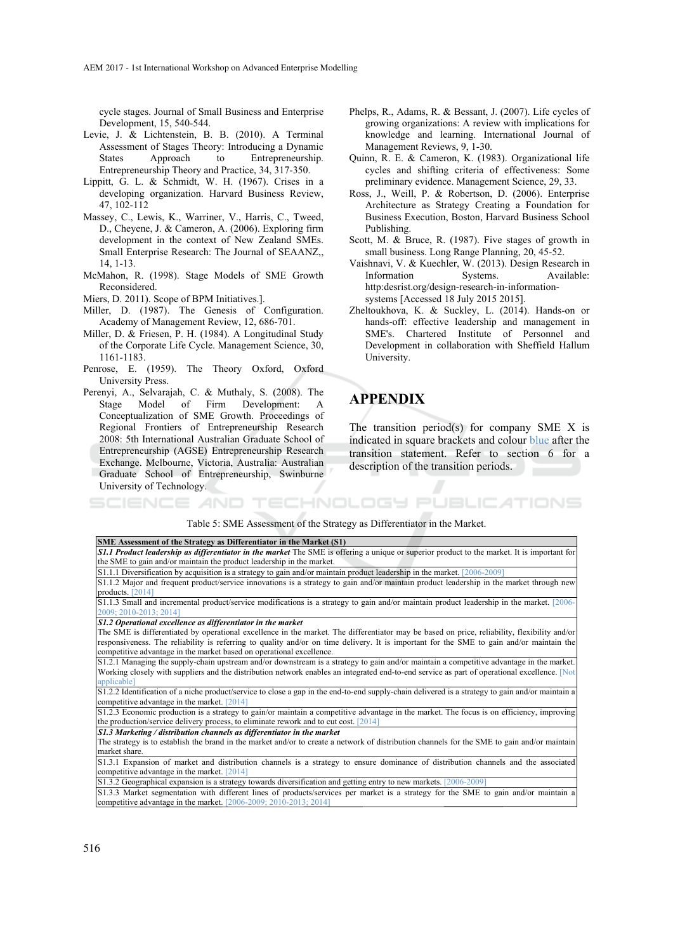AEM 2017 - 1st International Workshop on Advanced Enterprise Modelling

cycle stages. Journal of Small Business and Enterprise Development, 15, 540-544.

- Levie, J. & Lichtenstein, B. B. (2010). A Terminal Assessment of Stages Theory: Introducing a Dynamic States Approach to Entrepreneurship. Entrepreneurship Theory and Practice, 34, 317-350.
- Lippitt, G. L.  $\&$  Schmidt, W. H. (1967). Crises in a developing organization. Harvard Business Review, 47, 102-112
- Massey, C., Lewis, K., Warriner, V., Harris, C., Tweed, D., Cheyene, J. & Cameron, A. (2006). Exploring firm development in the context of New Zealand SMEs. Small Enterprise Research: The Journal of SEAANZ,, 14, 1-13.
- McMahon, R. (1998). Stage Models of SME Growth Reconsidered.
- Miers, D. 2011). Scope of BPM Initiatives.].
- Miller, D. (1987). The Genesis of Configuration. Academy of Management Review, 12, 686-701.
- Miller, D. & Friesen, P. H. (1984). A Longitudinal Study of the Corporate Life Cycle. Management Science, 30, 1161-1183.
- Penrose, E. (1959). The Theory Oxford, Oxford University Press.
- Perenyi, A., Selvarajah, C. & Muthaly, S. (2008). The Stage Model of Firm Development: A Conceptualization of SME Growth. Proceedings of Regional Frontiers of Entrepreneurship Research 2008: 5th International Australian Graduate School of Entrepreneurship (AGSE) Entrepreneurship Research Exchange. Melbourne, Victoria, Australia: Australian Graduate School of Entrepreneurship, Swinburne University of Technology.
- Phelps, R., Adams, R. & Bessant, J. (2007). Life cycles of growing organizations: A review with implications for knowledge and learning. International Journal of Management Reviews, 9, 1-30.
- Quinn, R. E. & Cameron, K. (1983). Organizational life cycles and shifting criteria of effectiveness: Some preliminary evidence. Management Science, 29, 33.
- Ross, J., Weill, P. & Robertson, D. (2006). Enterprise Architecture as Strategy Creating a Foundation for Business Execution, Boston, Harvard Business School Publishing.
- Scott, M. & Bruce, R. (1987). Five stages of growth in small business. Long Range Planning, 20, 45-52.
- Vaishnavi, V. & Kuechler, W. (2013). Design Research in Information Systems. Available: http:desrist.org/design-research-in-informationsystems [Accessed 18 July 2015 2015].
- Zheltoukhova, K. & Suckley, L. (2014). Hands-on or hands-off: effective leadership and management in SME's. Chartered Institute of Personnel and Development in collaboration with Sheffield Hallum University.

# **APPENDIX**

AND TECHNOLOGY PUBLICATIONS

The transition period(s) for company SME  $X$  is indicated in square brackets and colour blue after the transition statement. Refer to section 6 for a description of the transition periods.

### Table 5: SME Assessment of the Strategy as Differentiator in the Market.

| SME Assessment of the Strategy as Differentiator in the Market (S1)                                                                              |
|--------------------------------------------------------------------------------------------------------------------------------------------------|
| S1.1 Product leadership as differentiator in the market The SME is offering a unique or superior product to the market. It is important for      |
| the SME to gain and/or maintain the product leadership in the market.                                                                            |
| $S1.1.1$ Diversification by acquisition is a strategy to gain and/or maintain product leadership in the market. [2006-2009]                      |
| S1.1.2 Major and frequent product/service innovations is a strategy to gain and/or maintain product leadership in the market through new         |
| products. [2014]                                                                                                                                 |
| S1.1.3 Small and incremental product/service modifications is a strategy to gain and/or maintain product leadership in the market. [2006-        |
| 2009; 2010-2013; 2014]                                                                                                                           |
| S1.2 Operational excellence as differentiator in the market                                                                                      |
| The SME is differentiated by operational excellence in the market. The differentiator may be based on price, reliability, flexibility and/or     |
| responsiveness. The reliability is referring to quality and/or on time delivery. It is important for the SME to gain and/or maintain the         |
| competitive advantage in the market based on operational excellence.                                                                             |
| S1.2.1 Managing the supply-chain upstream and/or downstream is a strategy to gain and/or maintain a competitive advantage in the market.         |
| Working closely with suppliers and the distribution network enables an integrated end-to-end service as part of operational excellence. [Not]    |
| applicable]                                                                                                                                      |
| S1.2.2 Identification of a niche product/service to close a gap in the end-to-end supply-chain delivered is a strategy to gain and/or maintain a |
| competitive advantage in the market. $[2014]$                                                                                                    |
| S1.2.3 Economic production is a strategy to gain/or maintain a competitive advantage in the market. The focus is on efficiency, improving        |
| the production/service delivery process, to eliminate rework and to cut cost. $[2014]$                                                           |
| S1.3 Marketing / distribution channels as differentiator in the market                                                                           |
| The strategy is to establish the brand in the market and/or to create a network of distribution channels for the SME to gain and/or maintain     |
| market share.                                                                                                                                    |
| S1.3.1 Expansion of market and distribution channels is a strategy to ensure dominance of distribution channels and the associated               |
| competitive advantage in the market. $[2014]$                                                                                                    |
| S1.3.2 Geographical expansion is a strategy towards diversification and getting entry to new markets. [2006-2009]                                |
| S1.3.2 Market segmentation with different lines of products/services per market is a strategy for the SME to gain and/or maintain a              |

S1.3.3 Market segmentation with different lines of products/services per market is a strategy for the SME to gain and/or maintain a competitive advantage in the market. [2006-2009; 2010-2013; 2014]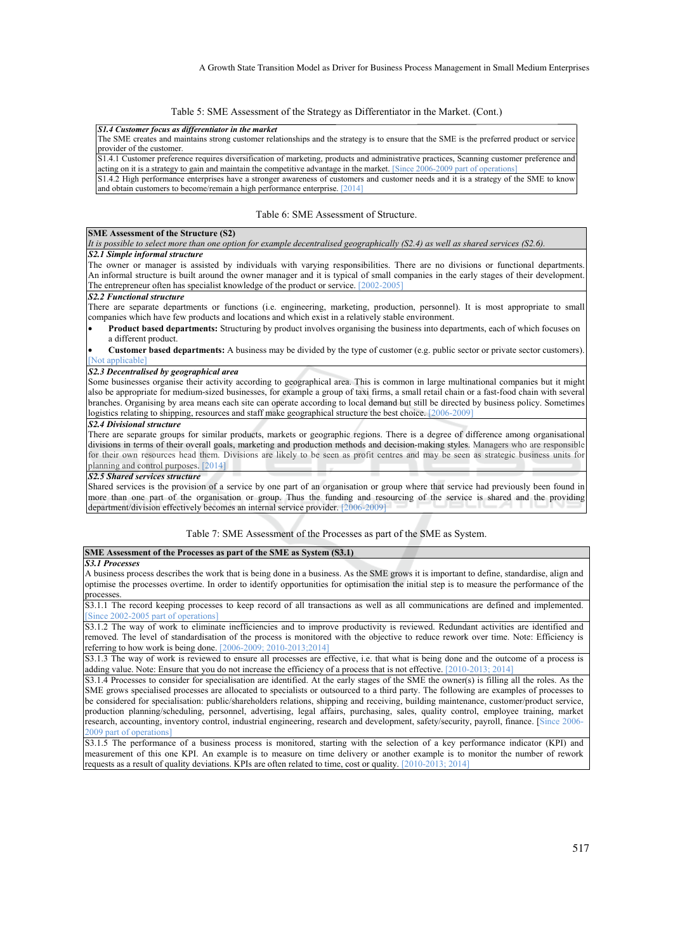Table 5: SME Assessment of the Strategy as Differentiator in the Market. (Cont.)

*S1.4 Customer focus as differentiator in the market* 

The SME creates and maintains strong customer relationships and the strategy is to ensure that the SME is the preferred product or service provider of the customer.

S1.4.1 Customer preference requires diversification of marketing, products and administrative practices, Scanning customer preference and acting on it is a strategy to gain and maintain the competitive advantage in the market. [Since 2006-2009 part of operations]

 $S1.4.2$  High performance enterprises have a stronger awareness of customers and customer needs and it is a strategy of the SME to know and obtain customers to become/remain a high performance enterprise. [2014]

Table 6: SME Assessment of Structure.

#### **SME Assessment of the Structure (S2)**

*It is possible to select more than one option for example decentralised geographically (S2.4) as well as shared services (S2.6). S2.1 Simple informal structure* 

The owner or manager is assisted by individuals with varying responsibilities. There are no divisions or functional departments. An informal structure is built around the owner manager and it is typical of small companies in the early stages of their development. The entrepreneur often has specialist knowledge of the product or service. [2002-2005]

#### *S2.2 Functional structure*

There are separate departments or functions (i.e. engineering, marketing, production, personnel). It is most appropriate to small companies which have few products and locations and which exist in a relatively stable environment.

• **Product based departments:** Structuring by product involves organising the business into departments, each of which focuses on a different product.

• **Customer based departments:** A business may be divided by the type of customer (e.g. public sector or private sector customers). [Not applicable]

#### *S2.3 Decentralised by geographical area*

Some businesses organise their activity according to geographical area. This is common in large multinational companies but it might also be appropriate for medium-sized businesses, for example a group of taxi firms, a small retail chain or a fast-food chain with several branches. Organising by area means each site can operate according to local demand but still be directed by business policy. Sometimes logistics relating to shipping, resources and staff make geographical structure the best choice. [2006-2009

#### *S2.4 Divisional structure*

There are separate groups for similar products, markets or geographic regions. There is a degree of difference among organisational divisions in terms of their overall goals, marketing and production methods and decision-making styles. Managers who are responsible for their own resources head them. Divisions are likely to be seen as profit centres and may be seen as strategic business units for planning and control purposes. [2014]

### *S2.5 Shared services structure*

Shared services is the provision of a service by one part of an organisation or group where that service had previously been found in more than one part of the organisation or group. Thus the funding and resourcing of the service is shared and the providing department/division effectively becomes an internal service provider. [2006-2009]

Table 7: SME Assessment of the Processes as part of the SME as System.

### **SME Assessment of the Processes as part of the SME as System (S3.1)**

#### *S3.1 Processes*

A business process describes the work that is being done in a business. As the SME grows it is important to define, standardise, align and optimise the processes overtime. In order to identify opportunities for optimisation the initial step is to measure the performance of the processes.

S3.1.1 The record keeping processes to keep record of all transactions as well as all communications are defined and implemented. Since 2002-2005 part of operations]

S3.1.2 The way of work to eliminate inefficiencies and to improve productivity is reviewed. Redundant activities are identified and removed. The level of standardisation of the process is monitored with the objective to reduce rework over time. Note: Efficiency is referring to how work is being done. [2006-2009; 2010-2013;2014]

S3.1.3 The way of work is reviewed to ensure all processes are effective, i.e. that what is being done and the outcome of a process is adding value. Note: Ensure that you do not increase the efficiency of a process that is not effective. [2010-2013; 2014]

S3.1.4 Processes to consider for specialisation are identified. At the early stages of the SME the owner(s) is filling all the roles. As the SME grows specialised processes are allocated to specialists or outsourced to a third party. The following are examples of processes to be considered for specialisation: public/shareholders relations, shipping and receiving, building maintenance, customer/product service, production planning/scheduling, personnel, advertising, legal affairs, purchasing, sales, quality control, employee training, market research, accounting, inventory control, industrial engineering, research and development, safety/security, payroll, finance. [Since 2006- 2009 part of operations]

S3.1.5 The performance of a business process is monitored, starting with the selection of a key performance indicator (KPI) and measurement of this one KPI. An example is to measure on time delivery or another example is to monitor the number of rework requests as a result of quality deviations. KPIs are often related to time, cost or quality. [2010-2013; 2014]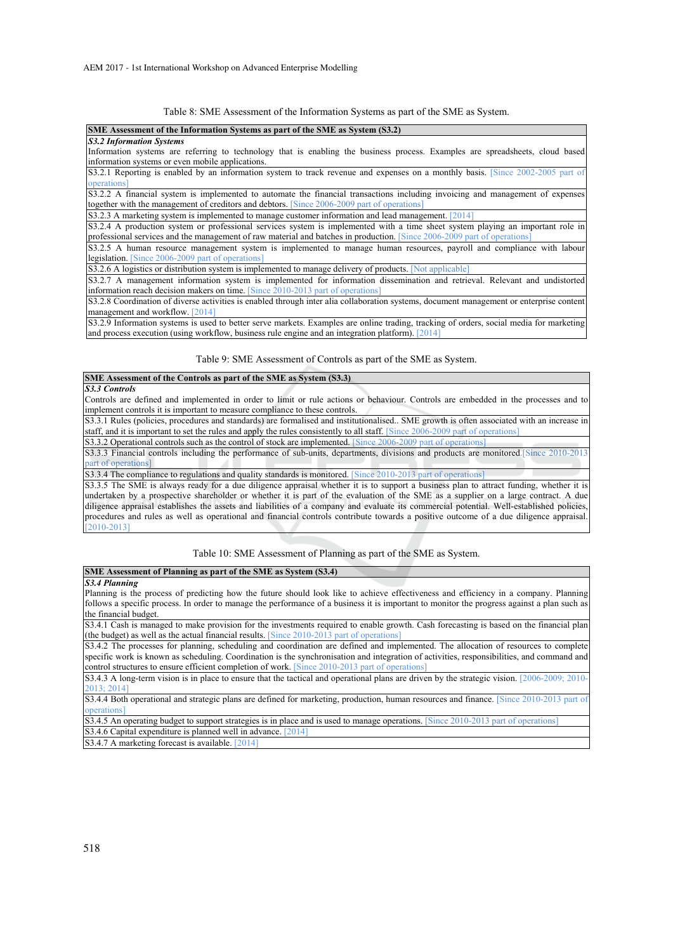Table 8: SME Assessment of the Information Systems as part of the SME as System.

| SME Assessment of the Information Systems as part of the SME as System (S3.2)                                                    |
|----------------------------------------------------------------------------------------------------------------------------------|
| <b>S3.2 Information Systems</b>                                                                                                  |
| Information systems are referring to technology that is enabling the business process. Examples are spreadsheets, cloud based    |
| information systems or even mobile applications.                                                                                 |
| S3.2.1 Reporting is enabled by an information system to track revenue and expenses on a monthly basis. Since 2002-2005 part of   |
| <i>operations</i>                                                                                                                |
| [S3.2.2 A financial system is implemented to automate the financial transactions including invoicing and management of expenses  |
| together with the management of creditors and debtors. [Since 2006-2009 part of operations]                                      |
| S3.2.3 A marketing system is implemented to manage customer information and lead management. [2014]                              |
| [S3.2.4 A production system or professional services system is implemented with a time sheet system playing an important role in |

professional services and the management of raw material and batches in production. [Since 2006-2009 part of operations] S3.2.5 A human resource management system is implemented to manage human resources, payroll and compliance with labour legislation. [Since 2006-2009 part of operations]

S3.2.6 A logistics or distribution system is implemented to manage delivery of products. [Not applicable]

S3.2.7 A management information system is implemented for information dissemination and retrieval. Relevant and undistorted information reach decision makers on time. [Since 2010-2013 part of operations

S3.2.8 Coordination of diverse activities is enabled through inter alia collaboration systems, document management or enterprise content management and workflow. [2014]

S3.2.9 Information systems is used to better serve markets. Examples are online trading, tracking of orders, social media for marketing and process execution (using workflow, business rule engine and an integration platform). [2014]

Table 9: SME Assessment of Controls as part of the SME as System.

### **SME Assessment of the Controls as part of the SME as System (S3.3)**

*S3.3 Controls* 

Controls are defined and implemented in order to limit or rule actions or behaviour. Controls are embedded in the processes and to implement controls it is important to measure compliance to these controls.

S3.3.1 Rules (policies, procedures and standards) are formalised and institutionalised.. SME growth is often associated with an increase in staff, and it is important to set the rules and apply the rules consistently to all staff. [Since 2006-2009 part of operations]

S3.3.2 Operational controls such as the control of stock are implemented. [Since 2006-2009 part of operations]

S3.3.3 Financial controls including the performance of sub-units, departments, divisions and products are monitored.[Since 2010-2013 part of operations<sup>1</sup>

S3.3.4 The compliance to regulations and quality standards is monitored. [Since 2010-2013 part of operations]

S3.3.5 The SME is always ready for a due diligence appraisal whether it is to support a business plan to attract funding, whether it is undertaken by a prospective shareholder or whether it is part of the evaluation of the SME as a supplier on a large contract. A due diligence appraisal establishes the assets and liabilities of a company and evaluate its commercial potential. Well-established policies, procedures and rules as well as operational and financial controls contribute towards a positive outcome of a due diligence appraisal. [2010-2013]

#### Table 10: SME Assessment of Planning as part of the SME as System.

### **SME Assessment of Planning as part of the SME as System (S3.4)**

*S3.4 Planning* 

Planning is the process of predicting how the future should look like to achieve effectiveness and efficiency in a company. Planning follows a specific process. In order to manage the performance of a business it is important to monitor the progress against a plan such as the financial budget.

S3.4.1 Cash is managed to make provision for the investments required to enable growth. Cash forecasting is based on the financial plan (the budget) as well as the actual financial results. [Since 2010-2013 part of operations]

S3.4.2 The processes for planning, scheduling and coordination are defined and implemented. The allocation of resources to complete specific work is known as scheduling. Coordination is the synchronisation and integration of activities, responsibilities, and command and control structures to ensure efficient completion of work. [Since 2010-2013 part of operations]

S3.4.3 A long-term vision is in place to ensure that the tactical and operational plans are driven by the strategic vision. [2006-2009; 2010-2013; 2014]

S3.4.4 Both operational and strategic plans are defined for marketing, production, human resources and finance. [Since 2010-2013 part of operations]

S3.4.5 An operating budget to support strategies is in place and is used to manage operations. [Since 2010-2013 part of operations] S3.4.6 Capital expenditure is planned well in advance. [2014]

S3.4.7 A marketing forecast is available. [2014]